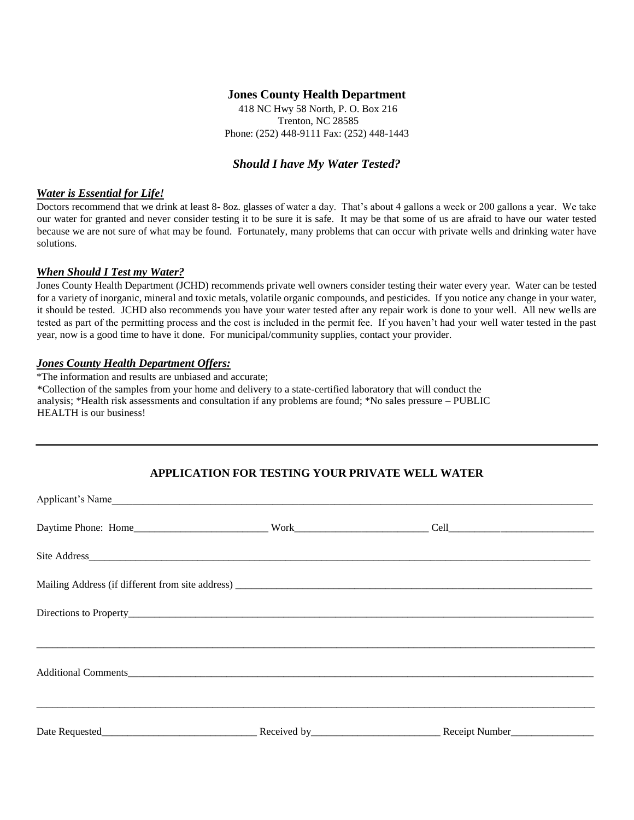## **Jones County Health Department**

418 NC Hwy 58 North, P. O. Box 216 Trenton, NC 28585 Phone: (252) 448-9111 Fax: (252) 448-1443

# *Should I have My Water Tested?*

#### *Water is Essential for Life!*

Doctors recommend that we drink at least 8- 8oz. glasses of water a day. That's about 4 gallons a week or 200 gallons a year. We take our water for granted and never consider testing it to be sure it is safe. It may be that some of us are afraid to have our water tested because we are not sure of what may be found. Fortunately, many problems that can occur with private wells and drinking water have solutions.

#### *When Should I Test my Water?*

Jones County Health Department (JCHD) recommends private well owners consider testing their water every year. Water can be tested for a variety of inorganic, mineral and toxic metals, volatile organic compounds, and pesticides. If you notice any change in your water, it should be tested. JCHD also recommends you have your water tested after any repair work is done to your well. All new wells are tested as part of the permitting process and the cost is included in the permit fee. If you haven't had your well water tested in the past year, now is a good time to have it done. For municipal/community supplies, contact your provider.

#### *Jones County Health Department Offers:*

\*The information and results are unbiased and accurate;

\*Collection of the samples from your home and delivery to a state-certified laboratory that will conduct the analysis; \*Health risk assessments and consultation if any problems are found; \*No sales pressure – PUBLIC HEALTH is our business!

# **APPLICATION FOR TESTING YOUR PRIVATE WELL WATER**

| Applicant's Name |  |  |
|------------------|--|--|
|                  |  |  |
|                  |  |  |
|                  |  |  |
|                  |  |  |
|                  |  |  |
|                  |  |  |
|                  |  |  |
|                  |  |  |